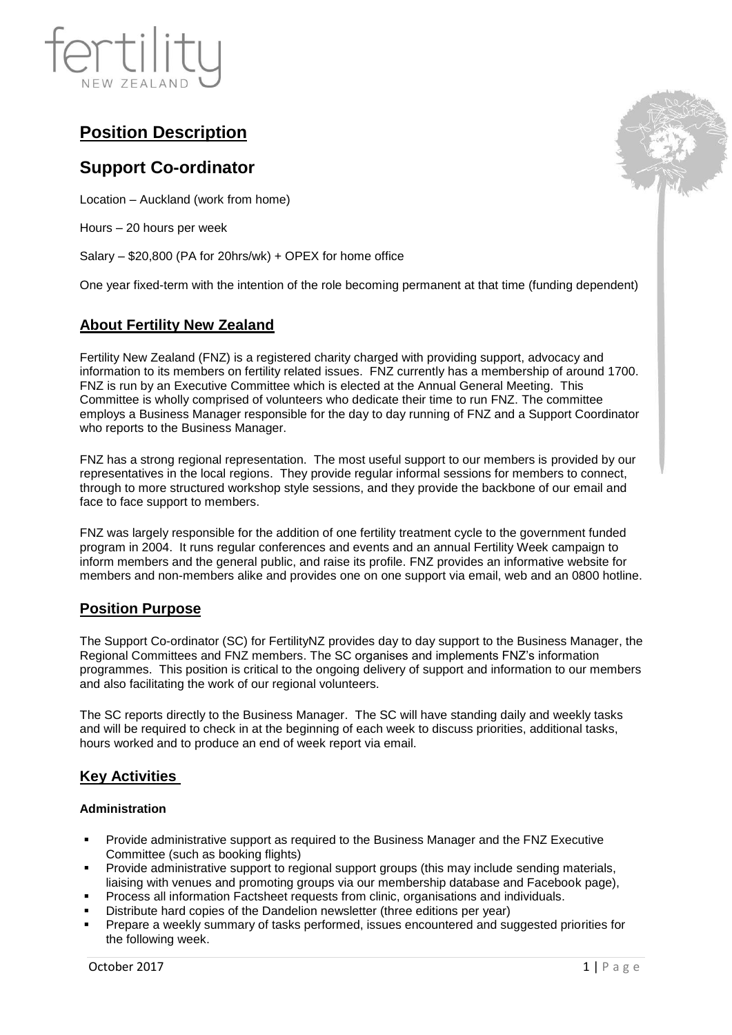

# **Position Description**

## **Support Co-ordinator**

Location – Auckland (work from home)

Hours – 20 hours per week

Salary – \$20,800 (PA for 20hrs/wk) + OPEX for home office

One year fixed-term with the intention of the role becoming permanent at that time (funding dependent)

## **About Fertility New Zealand**

Fertility New Zealand (FNZ) is a registered charity charged with providing support, advocacy and information to its members on fertility related issues. FNZ currently has a membership of around 1700. FNZ is run by an Executive Committee which is elected at the Annual General Meeting. This Committee is wholly comprised of volunteers who dedicate their time to run FNZ. The committee employs a Business Manager responsible for the day to day running of FNZ and a Support Coordinator who reports to the Business Manager.

FNZ has a strong regional representation. The most useful support to our members is provided by our representatives in the local regions. They provide regular informal sessions for members to connect, through to more structured workshop style sessions, and they provide the backbone of our email and face to face support to members.

FNZ was largely responsible for the addition of one fertility treatment cycle to the government funded program in 2004. It runs regular conferences and events and an annual Fertility Week campaign to inform members and the general public, and raise its profile. FNZ provides an informative website for members and non-members alike and provides one on one support via email, web and an 0800 hotline.

## **Position Purpose**

The Support Co-ordinator (SC) for FertilityNZ provides day to day support to the Business Manager, the Regional Committees and FNZ members. The SC organises and implements FNZ's information programmes. This position is critical to the ongoing delivery of support and information to our members and also facilitating the work of our regional volunteers.

The SC reports directly to the Business Manager. The SC will have standing daily and weekly tasks and will be required to check in at the beginning of each week to discuss priorities, additional tasks, hours worked and to produce an end of week report via email.

## **Key Activities**

#### **Administration**

- Provide administrative support as required to the Business Manager and the FNZ Executive Committee (such as booking flights)
- Provide administrative support to regional support groups (this may include sending materials, liaising with venues and promoting groups via our membership database and Facebook page),
- Process all information Factsheet requests from clinic, organisations and individuals.
- Distribute hard copies of the Dandelion newsletter (three editions per year)
- Prepare a weekly summary of tasks performed, issues encountered and suggested priorities for the following week.

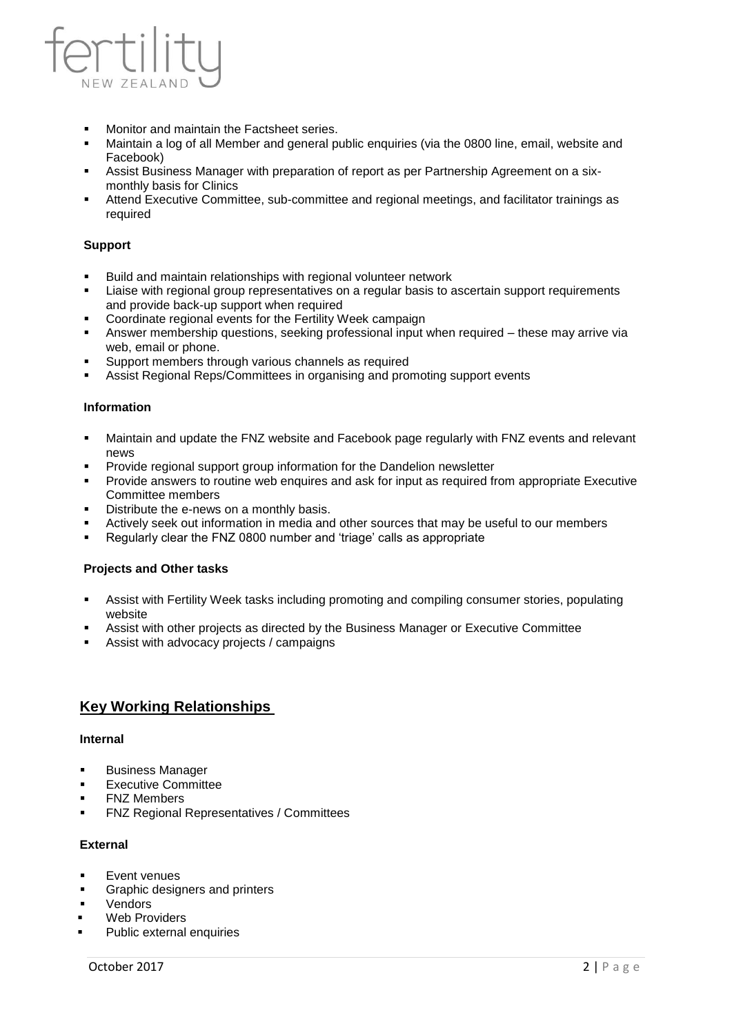

- Monitor and maintain the Factsheet series.
- Maintain a log of all Member and general public enquiries (via the 0800 line, email, website and Facebook)
- Assist Business Manager with preparation of report as per Partnership Agreement on a sixmonthly basis for Clinics
- Attend Executive Committee, sub-committee and regional meetings, and facilitator trainings as required

#### **Support**

- Build and maintain relationships with regional volunteer network
- Liaise with regional group representatives on a regular basis to ascertain support requirements and provide back-up support when required
- Coordinate regional events for the Fertility Week campaign
- Answer membership questions, seeking professional input when required these may arrive via web, email or phone.
- Support members through various channels as required
- **Assist Regional Reps/Committees in organising and promoting support events**

#### **Information**

- Maintain and update the FNZ website and Facebook page regularly with FNZ events and relevant news
- Provide regional support group information for the Dandelion newsletter
- Provide answers to routine web enquires and ask for input as required from appropriate Executive Committee members
- Distribute the e-news on a monthly basis.
- Actively seek out information in media and other sources that may be useful to our members
- Regularly clear the FNZ 0800 number and 'triage' calls as appropriate

#### **Projects and Other tasks**

- Assist with Fertility Week tasks including promoting and compiling consumer stories, populating website
- Assist with other projects as directed by the Business Manager or Executive Committee
- Assist with advocacy projects / campaigns

## **Key Working Relationships**

#### **Internal**

- Business Manager
- **Executive Committee**
- **FNZ Members**
- **FNZ Regional Representatives / Committees**

#### **External**

- Event venues
- Graphic designers and printers
- Vendors
- **Web Providers**
- Public external enquiries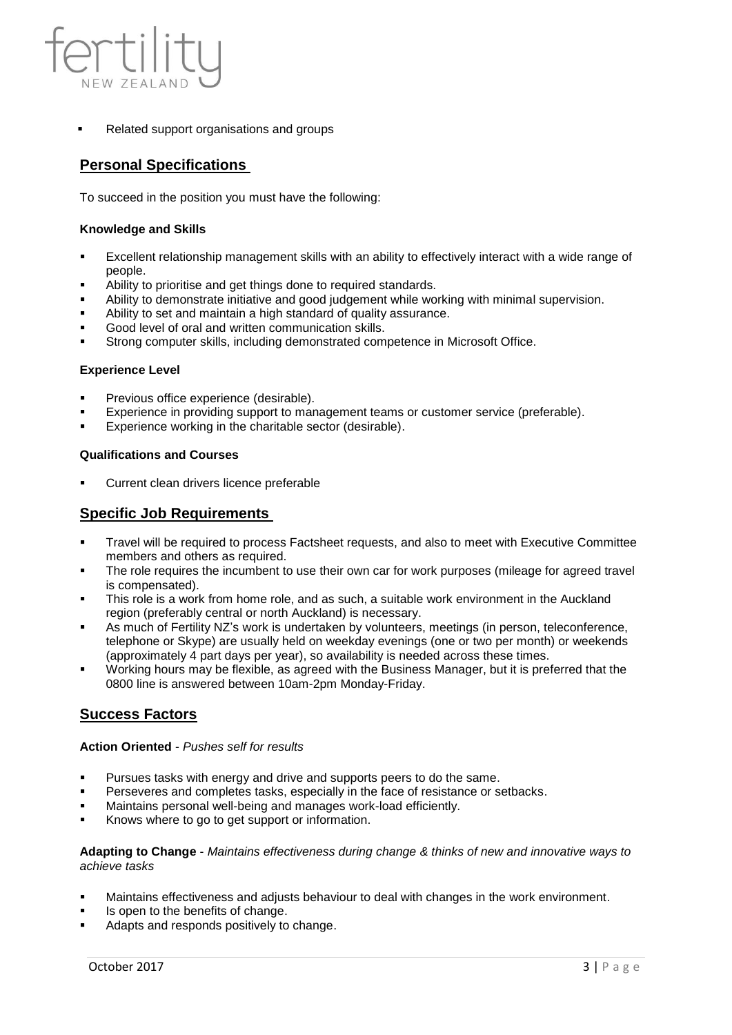

Related support organisations and groups

## **Personal Specifications**

To succeed in the position you must have the following:

#### **Knowledge and Skills**

- Excellent relationship management skills with an ability to effectively interact with a wide range of people.
- Ability to prioritise and get things done to required standards.
- Ability to demonstrate initiative and good judgement while working with minimal supervision.
- Ability to set and maintain a high standard of quality assurance.
- Good level of oral and written communication skills.
- Strong computer skills, including demonstrated competence in Microsoft Office.

#### **Experience Level**

- Previous office experience (desirable).
- Experience in providing support to management teams or customer service (preferable).
- Experience working in the charitable sector (desirable).

#### **Qualifications and Courses**

Current clean drivers licence preferable

### **Specific Job Requirements**

- Travel will be required to process Factsheet requests, and also to meet with Executive Committee members and others as required.
- The role requires the incumbent to use their own car for work purposes (mileage for agreed travel is compensated).
- This role is a work from home role, and as such, a suitable work environment in the Auckland region (preferably central or north Auckland) is necessary.
- As much of Fertility NZ's work is undertaken by volunteers, meetings (in person, teleconference, telephone or Skype) are usually held on weekday evenings (one or two per month) or weekends (approximately 4 part days per year), so availability is needed across these times.
- Working hours may be flexible, as agreed with the Business Manager, but it is preferred that the 0800 line is answered between 10am-2pm Monday-Friday.

## **Success Factors**

#### **Action Oriented** - *Pushes self for results*

- Pursues tasks with energy and drive and supports peers to do the same.
- Perseveres and completes tasks, especially in the face of resistance or setbacks.
- Maintains personal well-being and manages work-load efficiently.
- Knows where to go to get support or information.

**Adapting to Change** - *Maintains effectiveness during change & thinks of new and innovative ways to achieve tasks*

- Maintains effectiveness and adjusts behaviour to deal with changes in the work environment.
- Is open to the benefits of change.
- Adapts and responds positively to change.